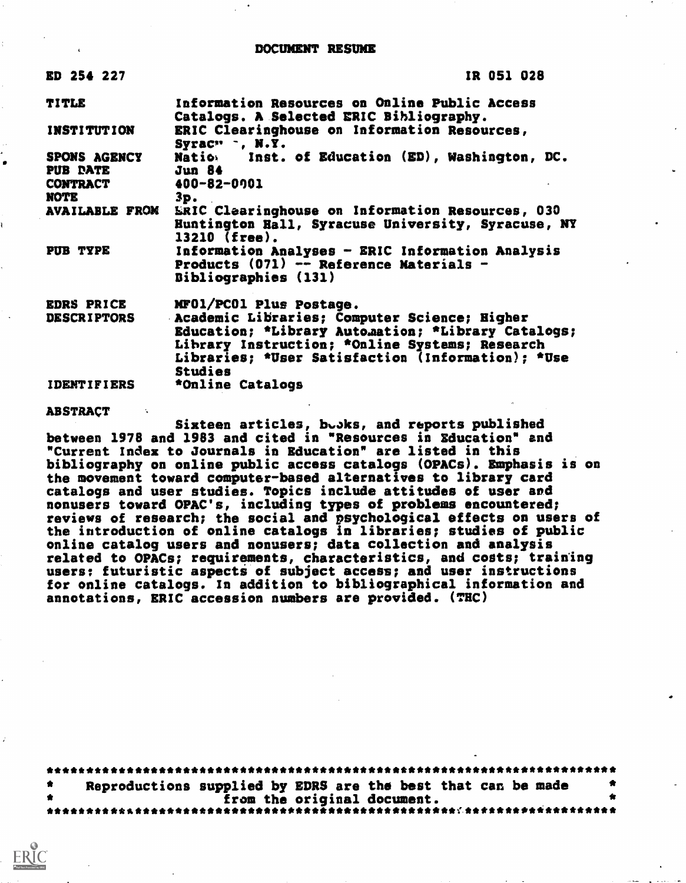ED 254 227

IR 051 028

| <b>TITLE</b>                                               | Information Resources on Online Public Access<br>Catalogs. A Selected ERIC Bibliography.                                                                                                                                    |
|------------------------------------------------------------|-----------------------------------------------------------------------------------------------------------------------------------------------------------------------------------------------------------------------------|
| <b>INSTITUTION</b>                                         | ERIC Clearinghouse on Information Resources,<br>Syrac" ", N.Y.                                                                                                                                                              |
| SPONS AGENCY<br>PUB PATE<br><b>CONTRACT</b><br><b>NOTE</b> | Natio. Inst. of Education (ED), Washington, DC.<br>Jun 84<br>400-82-0001<br>3p.                                                                                                                                             |
| <b>AVAILABLE FROM</b>                                      | ERIC Clearinghouse on Information Resources, 030<br>Huntington Hall, Syracuse University, Syracuse, NY<br>13210 (free).                                                                                                     |
| PUB TYPE                                                   | Information Analyses - ERIC Information Analysis<br>Products (071) -- Reference Materials -<br><b>Bibliographies (131)</b>                                                                                                  |
| <b>EDRS PRICE</b>                                          | MF01/PC01 Plus Postage.                                                                                                                                                                                                     |
| <b>DESCRIPTORS</b>                                         | Academic Libraries; Computer Science; Higher<br>Education; *Library Automation; *Library Catalogs;<br>Library Instruction; *Online Systems; Research<br>Libraries; *User Satisfaction (Information): *Use<br><b>Studies</b> |
| <b>IDENTIFIERS</b>                                         | *Online Catalogs                                                                                                                                                                                                            |

## **ABSTRACT**

Sixteen articles, buoks, and reports published between 1978 and 1983 and cited in "Resources in Education" and "Current Index to Journals in Education" are listed in this bibliography on online public access catalogs (OPACs). Emphasis is on the movement toward computer-based alternatives to library card catalogs and user studies. Topics include attitudes of user and nonusers toward OPAC's, including types of problems encountered; reviews of research; the social and psychological effects on users of the introduction of online catalogs in libraries; studies of public online catalog users and nonusers; data collection and analysis related to OPACs; requirements, characteristics, and costs; training<br>users: futuristic aspects of subject access; and user instructions for online catalogs. In addition to bibliographical information and annotations, ERIC accession numbers are provided. (THC)

Reproductions supplied by EDRS are the best that can be made from the original document. \*\*\*\*\*\*\*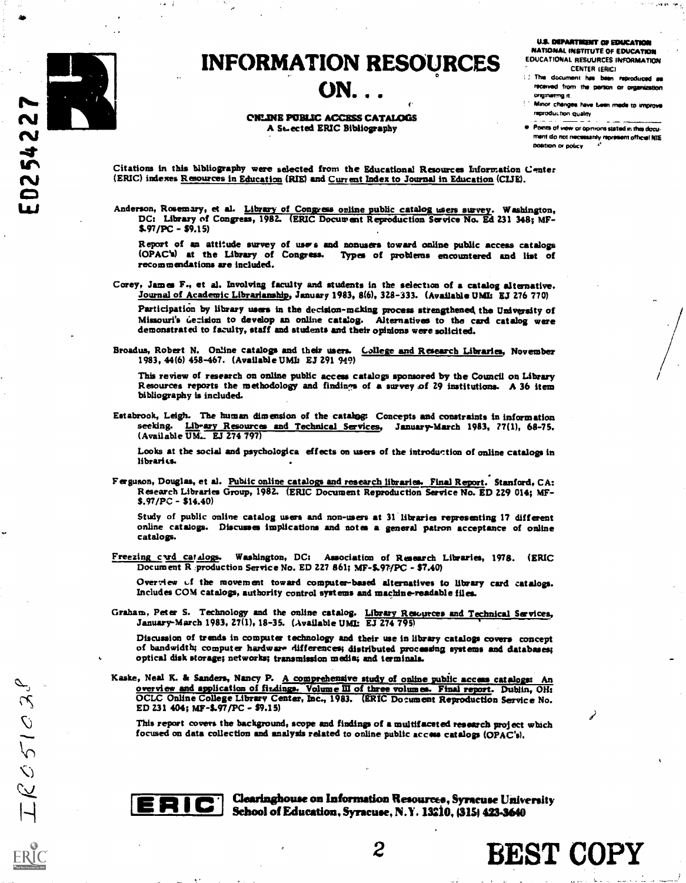

## INFORMATION RESOURCES<br>ON...

f'

ONLINE PUBLIC ACCESS CATALOGS A St-ected ERIC Bibliography

U.S. DEPARTINENT OF EDUCATION NATIONAL INSTITUTE OF EDUCATION

- EDUCATIONAL RESUURCES INFORMATION CENTER (ERIC)
- 1.) This document has been reproduced as received from the person or organization ongsnseng R.
- Minor chsnges hove teen made to improve reproduction quality
- Pointe of mew o opinions stated m this document do not necessarily represent official NIE position or policy

 $\epsilon$ 

BEST COPY

Citations in this bibliography were selected from the Educational Resources Information Center (ERIC) indexes Resources in Education (RIE) and Current Index to Journal in Education (CIJE).

Anderson, Rosemary, et al. *Library of Congress online public catalog users survey*. Washington, DC: Library of Congress, 1982. (ERIC Document Reproduction Service No. Ed 231 348; MF- \$.97/PC - \$9.15)

Report of an attitude survey of uses and nonusers toward online public access catalogs (OPAC's) at the Library of Congress. Types of problems encountered and list of recommendations are included.

Corey, James F., et al. Involving faculty and students in the selection of a catalog alternative. Journal of Academic Librarianship, January 1983, 8(6), 328-333. (Available UMIs EJ 276 770)

Participation by library users in the decision-making process strengthened the University of Missouri's decision to develop an online catalog. Alternatives to the card catalog were demonstrated to faculty, staff and studen

Broadus, Robert N. Online catalogs and their users. College and Research Libraries, November 1983, 44(6) 458-467. (Available UMIn EJ 291 949)

This review of research on online public access catalogs sponsored by the Council on Library Resources reports the methodology and findings of a survey of 29 institutions. A 36 item bibliography is included.

Estabrook, Leigh. The human dimension of the catalog: Concepts and constraints in information seeking. Lib-ary Resources and Technical Services, January-March 1983, ?7(1), 68-75. (Available UM., EJ 274 797)

Looks at the social and psychologies effects on users of the introduction of online catalogs in libraries.

Ferguson, Douglas, et al. Public online catalogs and research libraries. Final Report. Stanford, CA: Research Libraries Group, 1982. (ERIC Document Reproduction Service No. ED 229 014; MF- \$.97/PC - \$14.40)

Study of public online catalog users and non-users at 31. libraries representing 17 different online catalogs. Discusses implications and notes a general patron acceptance of online catalogs.

Freezing curd catalogs. Washington, DC: Association of Research Libraries, 1978. (ERIC Document R production Service No. ED 227 861; MF-\$.97/PC - \$7.40)

Overview of the movement toward computer-based alternatives to library card catalogs. Includes COM catalogs, authority control systems and machine-readable files.

Graham, Peter S. Technology and the online catalog. Library Resources and Technical Services,<br>January-March 1983, 27(1), 18-35. (Available UMI: EJ 274 795)

Discussion of trends in computer technology and their use in library catalogs covers concept of bandwidth; computer hardware differences; distributed processing systems and databases; optical disk storage; networks; transmission media; and terminals.

Kaske, Neal K. & Sanders, Nancy P. A comprehensive study of online public access catalogs: An overview and application of findings. Volume III of three volumes. Final report. Dublin, OH: OCLC Online College Library Center, Inc., 1983. (ERIC Document Reproduction Service No. ED 231 404; MF-\$.97/PC - \$9.15)

This report covers the background, scope and findings of a multifaceted research project which focused on data collection and analysis related to online public access catalogs (OPAC's).



ERIC. Clearinghouse on Information Resources, Syracuse University School of Education, Syracuse, N.Y. 13210, (315) 423-3640

2

 $IRC$ 51038

ERIC